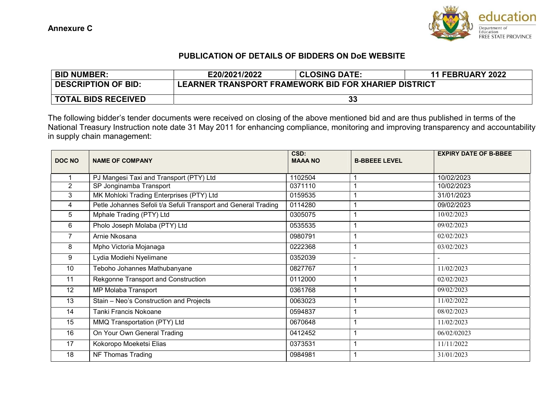

## PUBLICATION OF DETAILS OF BIDDERS ON DoE WEBSITE

| <b>BID NUMBER:</b>         | E20/2021/2022                                        | <b>CLOSING DATE:</b> | <b>11 FEBRUARY 2022</b> |  |  |
|----------------------------|------------------------------------------------------|----------------------|-------------------------|--|--|
| <b>DESCRIPTION OF BID:</b> | LEARNER TRANSPORT FRAMEWORK BID FOR XHARIEP DISTRICT |                      |                         |  |  |
| <b>TOTAL BIDS RECEIVED</b> | 2'<br>u.                                             |                      |                         |  |  |

The following bidder's tender documents were received on closing of the above mentioned bid and are thus published in terms of the National Treasury Instruction note date 31 May 2011 for enhancing compliance, monitoring and improving transparency and accountability in supply chain management:

| <b>DOC NO</b>  | <b>NAME OF COMPANY</b>                                         | CSD:<br><b>MAAA NO</b> | <b>B-BBEEE LEVEL</b> | <b>EXPIRY DATE OF B-BBEE</b> |
|----------------|----------------------------------------------------------------|------------------------|----------------------|------------------------------|
|                | PJ Mangesi Taxi and Transport (PTY) Ltd                        | 1102504                |                      | 10/02/2023                   |
| $\overline{2}$ | SP Jonginamba Transport                                        | 0371110                |                      | 10/02/2023                   |
| 3              | MK Mohloki Trading Enterprises (PTY) Ltd                       | 0159535                |                      | 31/01/2023                   |
| 4              | Petle Johannes Sefoli t/a Sefuli Transport and General Trading | 0114280                |                      | 09/02/2023                   |
| 5              | Mphale Trading (PTY) Ltd                                       | 0305075                |                      | 10/02/2023                   |
| 6              | Pholo Joseph Molaba (PTY) Ltd                                  | 0535535                |                      | 09/02/2023                   |
| 7              | Arnie Nkosana                                                  | 0980791                |                      | 02/02/2023                   |
| 8              | Mpho Victoria Mojanaga                                         | 0222368                |                      | 03/02/2023                   |
| 9              | Lydia Modiehi Nyelimane                                        | 0352039                | ۰                    |                              |
| 10             | Teboho Johannes Mathubanyane                                   | 0827767                |                      | 11/02/2023                   |
| 11             | Rekgonne Transport and Construction                            | 0112000                |                      | 02/02/2023                   |
| 12             | MP Molaba Transport                                            | 0361768                |                      | 09/02/2023                   |
| 13             | Stain - Neo's Construction and Projects                        | 0063023                |                      | 11/02/2022                   |
| 14             | Tanki Francis Nokoane                                          | 0594837                |                      | 08/02/2023                   |
| 15             | MMQ Transportation (PTY) Ltd                                   | 0670648                |                      | 11/02/2023                   |
| 16             | On Your Own General Trading                                    | 0412452                |                      | 06/02/02023                  |
| 17             | Kokoropo Moeketsi Elias                                        | 0373531                |                      | 11/11/2022                   |
| 18             | NF Thomas Trading                                              | 0984981                |                      | 31/01/2023                   |